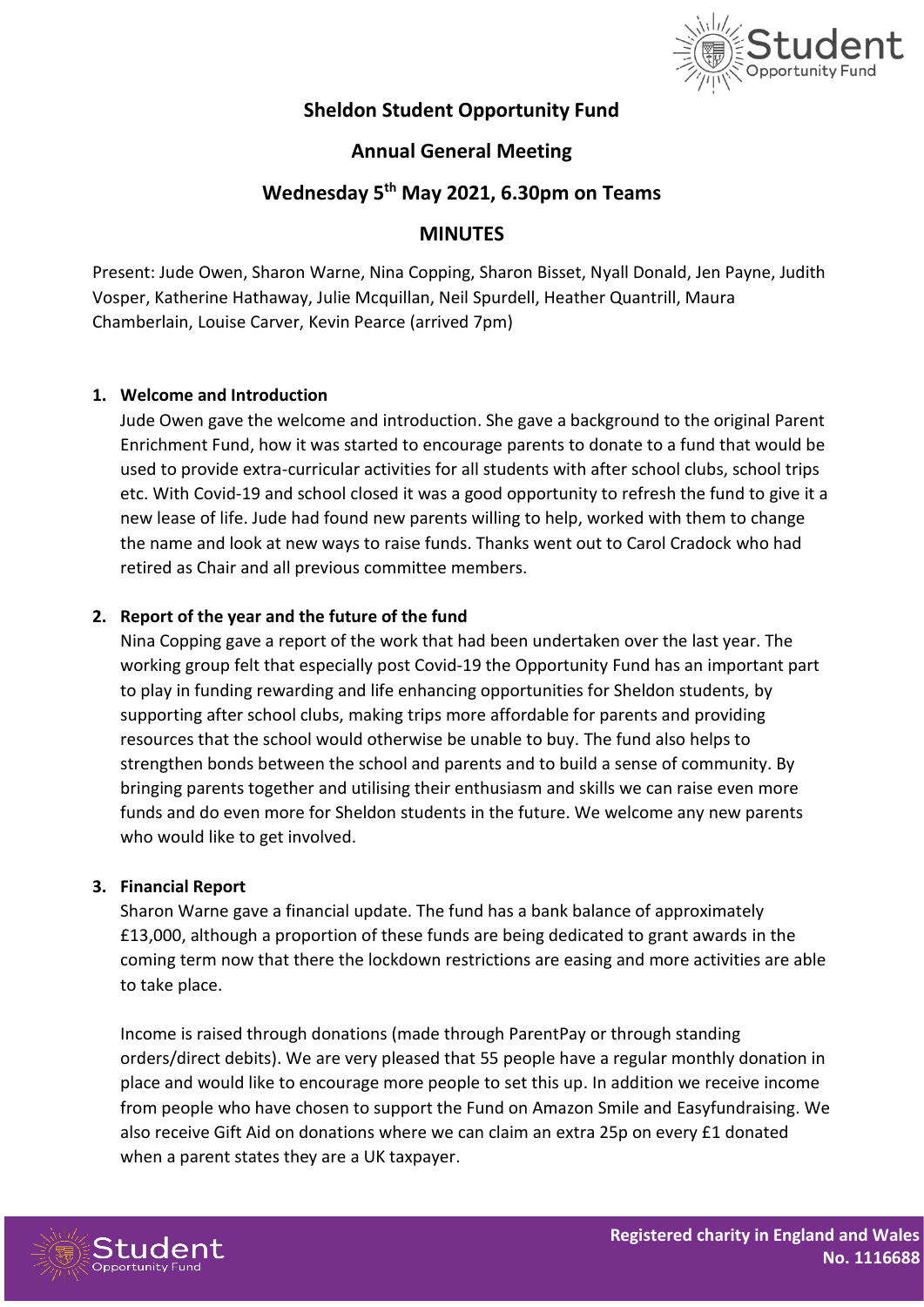

# **Sheldon Student Opportunity Fund**

### **Annual General Meeting**

# **Wednesday 5th May 2021, 6.30pm on Teams**

## **MINUTES**

Present: Jude Owen, Sharon Warne, Nina Copping, Sharon Bisset, Nyall Donald, Jen Payne, Judith Vosper, Katherine Hathaway, Julie Mcquillan, Neil Spurdell, Heather Quantrill, Maura Chamberlain, Louise Carver, Kevin Pearce (arrived 7pm)

### **1. Welcome and Introduction**

Jude Owen gave the welcome and introduction. She gave a background to the original Parent Enrichment Fund, how it was started to encourage parents to donate to a fund that would be used to provide extra-curricular activities for all students with after school clubs, school trips etc. With Covid-19 and school closed it was a good opportunity to refresh the fund to give it a new lease of life. Jude had found new parents willing to help, worked with them to change the name and look at new ways to raise funds. Thanks went out to Carol Cradock who had retired as Chair and all previous committee members.

### **2. Report of the year and the future of the fund**

Nina Copping gave a report of the work that had been undertaken over the last year. The working group felt that especially post Covid-19 the Opportunity Fund has an important part to play in funding rewarding and life enhancing opportunities for Sheldon students, by supporting after school clubs, making trips more affordable for parents and providing resources that the school would otherwise be unable to buy. The fund also helps to strengthen bonds between the school and parents and to build a sense of community. By bringing parents together and utilising their enthusiasm and skills we can raise even more funds and do even more for Sheldon students in the future. We welcome any new parents who would like to get involved.

### **3. Financial Report**

Sharon Warne gave a financial update. The fund has a bank balance of approximately £13,000, although a proportion of these funds are being dedicated to grant awards in the coming term now that there the lockdown restrictions are easing and more activities are able to take place.

Income is raised through donations (made through ParentPay or through standing orders/direct debits). We are very pleased that 55 people have a regular monthly donation in place and would like to encourage more people to set this up. In addition we receive income from people who have chosen to support the Fund on Amazon Smile and Easyfundraising. We also receive Gift Aid on donations where we can claim an extra 25p on every £1 donated when a parent states they are a UK taxpayer.